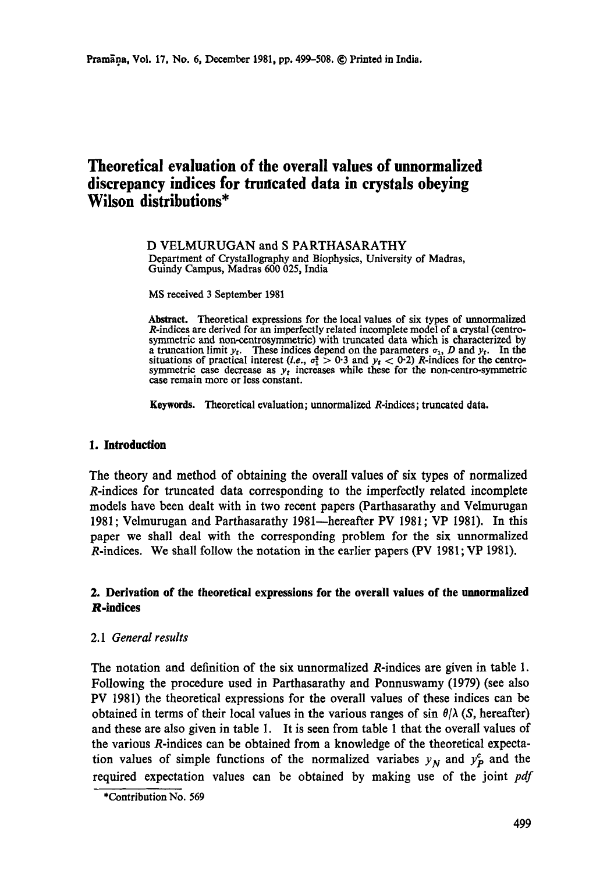# **Theoretical evaluation of the overall values of unnormalized discrepancy indices for truncated data in crystals obeying Wilson distributions\***

D VELMURUGAN and S PARTHASARATHY Department of Crystallography and Biophysics, University of Madras, Guindy Campus, Madras 600 025, India

MS received 3 September 1981

Abstract. Theoretical expressions for the local values of six types of unnormalized R-indices are derived for an imperfectly related incomplete model of a crystal (centrosymmetric and non-centrosymmetric) with truncated data which is characterized by a truncation limit  $y_t$ . These indices depend on the parameters  $\sigma_1$ , D and  $y_t$ . In the situations of practical interest *(i.e.,*  $\sigma_1^2 > 0.3$  *and*  $y_t < 0.2$ *) R*-indices for the centrosymmetric case decrease as  $y_t$  increases while these for the non-centro-symmetric case remain more or less constant.

Keywords. Theoretical evaluation; unnormalized R-indices; truncated data.

### **1. Introduction**

The theory and method of obtaining the overall values of six types of normalized R-indices for truncated data corresponding to the imperfectly related incomplete models have been dealt with in two recent papers (Parthasarathy and Velmurugan 1981; Velmurugan and Parthasarathy 1981--hereafter PV 1981; VP 1981). In this paper we shall deal with the corresponding problem for the six unnormalized R-indices. We shall follow the notation in the earlier papers (PV 1981; VP 1981).

# **2. Derivation of the theoretical expressions for the overall values of the unnormalized R-indices**

# 2.1 *General results*

The notation and definition of the six unnormalized R-indices are given in table 1. Following the procedure used in Parthasarathy and Ponnuswamy (1979) (see also PV 1981) the theoretical expressions for the overall values of these indices can be obtained in terms of their local values in the various ranges of sin  $\theta/\lambda$  (S, hereafter) and these are also given in table I. It is seen from table 1 that the overall values of the various R-indices can be obtained from a knowledge of the theoretical expectation values of simple functions of the normalized variabes  $y_N$  and  $y_P^c$  and the required expectation values can be obtained by making use of the joint *pdf* 

<sup>\*</sup>Contribution No. 569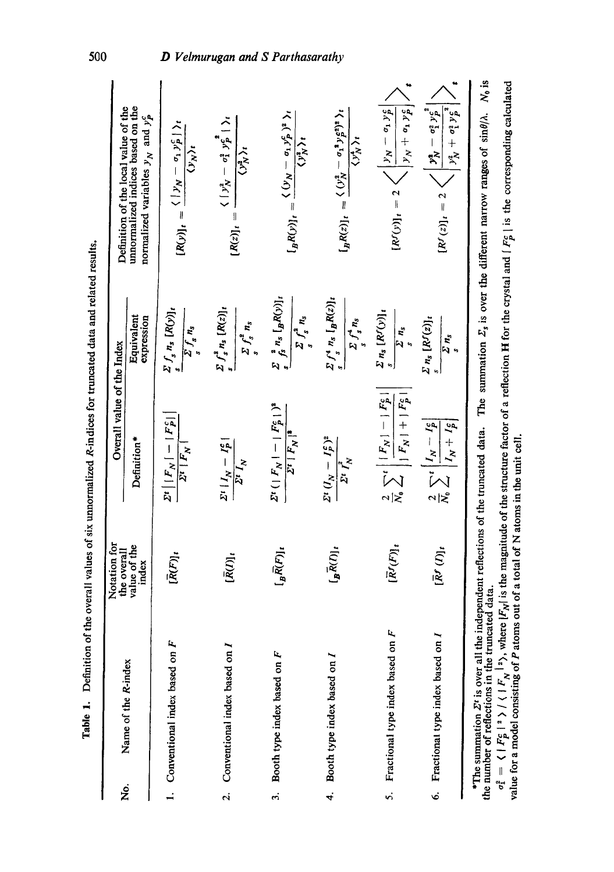|                    |                                                                                                                                                                                   |                                             |                                                                                                                                                                   | <b>Suman manny mini</b>                                                                                                             |                                                                                                                                                                                                                                                                                                                      |
|--------------------|-----------------------------------------------------------------------------------------------------------------------------------------------------------------------------------|---------------------------------------------|-------------------------------------------------------------------------------------------------------------------------------------------------------------------|-------------------------------------------------------------------------------------------------------------------------------------|----------------------------------------------------------------------------------------------------------------------------------------------------------------------------------------------------------------------------------------------------------------------------------------------------------------------|
|                    |                                                                                                                                                                                   | Notation for<br>the overall                 | Overall value of the Index                                                                                                                                        |                                                                                                                                     | Definition of the local value of the                                                                                                                                                                                                                                                                                 |
| .<br>Ž             | Name of the R-index                                                                                                                                                               | value of the<br>index                       | Definition*                                                                                                                                                       | Equivalent<br>expression                                                                                                            | unnormalized indices based on the<br>normalized variables $y_N$ and $y_p^c$                                                                                                                                                                                                                                          |
|                    | Conventional index based on F                                                                                                                                                     | $[\bar{R}(F)]_i$                            | $E^t \mid  F_N  -  F_S $<br>$\overline{\Sigma^t \mid F_N \mid}$                                                                                                   | $\sum_{s} f_s n_s [R(y)]_t$<br>$\frac{\sum\limits_{S}f_{s}}{s}n_{s}$                                                                | $[R(y)]_t = \frac{\langle  y_N - \sigma_1 y_p^c  \rangle_t}{\langle y_N \rangle_t}$                                                                                                                                                                                                                                  |
| $\dot{\mathbf{c}}$ | Conventional index based on I                                                                                                                                                     | $\bar{[R(I)]_t}$                            | $Z^{i}   I_N - I_P^{c}  $<br>$\sum I_N$                                                                                                                           | $\sum_{s} f_s^a n_s [R(z)]_t$<br>$\sum_{s} f_s^2 n_s$                                                                               | $[R(z)]_t = \frac{\langle  y_N^2 - \sigma_1^2 y_p^2   \rangle_t}{\langle  z ^2 \rangle_t}$<br>$\sqrt{\frac{y_n^2}{N}}$                                                                                                                                                                                               |
|                    | 3. Booth type index based on F                                                                                                                                                    | $[\bar{R(F)}]_t$                            | $\frac{\varSigma^{\mathfrak{r}}\left(\mid F_{N}\mid -\mid F_{P}^{\mathfrak{c}}\mid\right)^{\mathfrak{s}}}{\varSigma^{\mathfrak{r}}\mid F_{N}\mid^{\mathfrak{s}}}$ | $\sum_{s}\; \sum_{fs}^2\; n_s\; [\;_BR(y)]_t$<br>$\sum_{s} f_{s}^{a} n_{s}$                                                         | $I_B R(y) I_t = \frac{\langle (y_N - \sigma_1 y_p^c)^2 \rangle_t}{\langle y_N^b \rangle_t}$                                                                                                                                                                                                                          |
| 4.                 | Booth type index based on I                                                                                                                                                       | $[\mathfrak{g}^{\overline{R}(I)}]_t$        | $\mathcal{Z}^t(I_N - I_P^c)^2$<br>$\Sigma^t$ $I_N^2$                                                                                                              | $\sum_{s} f_s^4 n_s \left[ \frac{R(z)}{B} \right] t$<br>$\sum_{S} f_{S}^{4} n_{S}$                                                  | $\left[\frac{1}{B}R(z)\right]_t = \frac{\langle y_A^2 - \sigma_1^2 y_B^2 \rangle^2}{\langle y_A^2 - \sigma_1^2 y_B^2 \rangle^2}$<br>$\overline{\langle y_N^4 \rangle}$                                                                                                                                               |
| s.                 | Fractional type index based on F                                                                                                                                                  | $[\bar{R}^j(F)]_t$                          | $\frac{2}{N_0}\sum_i \frac{ \,F_N\,  \,-\,  \,F_{\beta}^\epsilon\, }{ \,F_N\,  \, +\,  \,F_{\beta}^\epsilon\, }$                                                  | $\frac{\sum n_s [R^f(y)]_t}{s}$<br>$\overline{\Sigma} n_s$                                                                          | $ y_N + \sigma_1 y_p^c $<br>$[Rf(y)]_t = 2 \left\langle \left  \frac{y_N - \sigma_1 y_\beta}{\sigma_1} \right  \right.$                                                                                                                                                                                              |
| Ġ                  | Fractional type index based on                                                                                                                                                    | $[\bar{R}^f\left(l\right)]_t$               | $\frac{2}{N_0}\sum_i \frac{I_N - I^c_p}{I_N + I^c_p}$                                                                                                             | $\sum_{s} n_s [R^f(z)]_t$<br>$\begin{array}{c} \n\overline{\phantom{a}} & n_s \\ \hline\n\overline{\phantom{a}} & n_s\n\end{array}$ | $y_N^2 + \sigma_1^2 y_p^2$<br>$[R^{f}(z)]_{i} = 2 \left\langle \left  \frac{y_{N}^{2} - \sigma_{i}^{2} y_{p}^{2}}{2} \right  \right.$                                                                                                                                                                                |
|                    | *The summation $Zt$ is over all the independent reflections of the truncated data.<br>the number of reflections in the truncated data.<br>value for a model consisting of P atoms | out of a total of N atoms in the unit cell. |                                                                                                                                                                   |                                                                                                                                     | The summation $\Sigma_s$ is over the different narrow ranges of $sin\theta/\lambda$ . $N_0$ is<br>$\sigma_1^2 = \langle  F_p^c ^2 \rangle / \langle  F_N ^2 \rangle$ , where $ F_N $ is the magnitude of the structure factor of a reflection <b>H</b> for the crystal and $ F_p^c $ is the corresponding calculated |

Table 1. Definition of the overall values of six unnormalized R-indices for truncated data and related results. Table 1. Definition of the overall values of six unnormalized R-indices for truncated data and related results,

500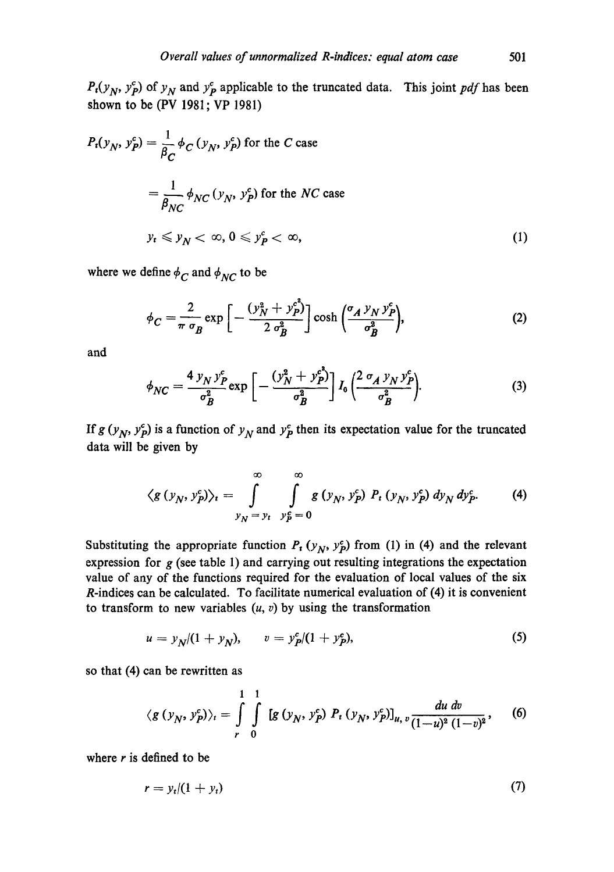$P_t(y_N, y_P^c)$  of  $y_N$  and  $y_P^c$  applicable to the truncated data. This joint *pdf* has been shown to be (PV 1981; VP 1981)

$$
P_t(y_N, y_P^c) = \frac{1}{\beta_C} \phi_C(y_N, y_P^c) \text{ for the } C \text{ case}
$$
  

$$
= \frac{1}{\beta_{NC}} \phi_{NC}(y_N, y_P^c) \text{ for the } NC \text{ case}
$$
  

$$
y_t \le y_N < \infty, 0 \le y_P^c < \infty,
$$
 (1)

where we define  $\phi_C$  and  $\phi_{NC}$  to be

$$
\phi_C = \frac{2}{\pi \sigma_B} \exp\left[-\frac{(y_N^2 + y_P^{\epsilon^2})}{2 \sigma_B^2}\right] \cosh\left(\frac{\sigma_A y_N y_P^{\epsilon}}{\sigma_B^2}\right),\tag{2}
$$

and

$$
\phi_{NC} = \frac{4 y_N y_P^c}{\sigma_B^2} \exp\left[-\frac{(y_N^2 + y_P^c)^2}{\sigma_B^2}\right] I_0 \left(\frac{2 \sigma_A y_N y_P^c}{\sigma_B^2}\right).
$$
 (3)

If *g* ( $y_N$ ,  $y_P^c$ ) is a function of  $y_N$  and  $y_P^c$  then its expectation value for the truncated data will be given by

$$
\langle g(y_N, y_P^c) \rangle_t = \int_{y_N = y_t}^{\infty} \int_{y_P^c = 0}^{\infty} g(y_N, y_P^c) P_t(y_N, y_P^c) dy_N dy_P^c.
$$
 (4)

Substituting the appropriate function  $P_t(y_N, y_p^c)$  from (1) in (4) and the relevant expression for  $g$  (see table 1) and carrying out resulting integrations the expectation value of any of the functions required for the evaluation of local values of the six R-indices can be calculated. To facilitate numerical evaluation of (4) it is convenient to transform to new variables  $(u, v)$  by using the transformation

$$
u = y_N/(1 + y_N), \qquad v = y_P^c/(1 + y_P^c), \tag{5}
$$

so that (4) can be rewritten as

$$
\langle g(y_N, y_p^c) \rangle_t = \int\limits_{r_0}^{1} \int\limits_{0}^{1} [g(y_N, y_p^c) P_t(y_N, y_p^c)]_{u, v} \frac{du dv}{(1-u)^2 (1-v)^2}, \qquad (6)
$$

where  $r$  is defined to be

$$
r = y_t/(1 + y_t) \tag{7}
$$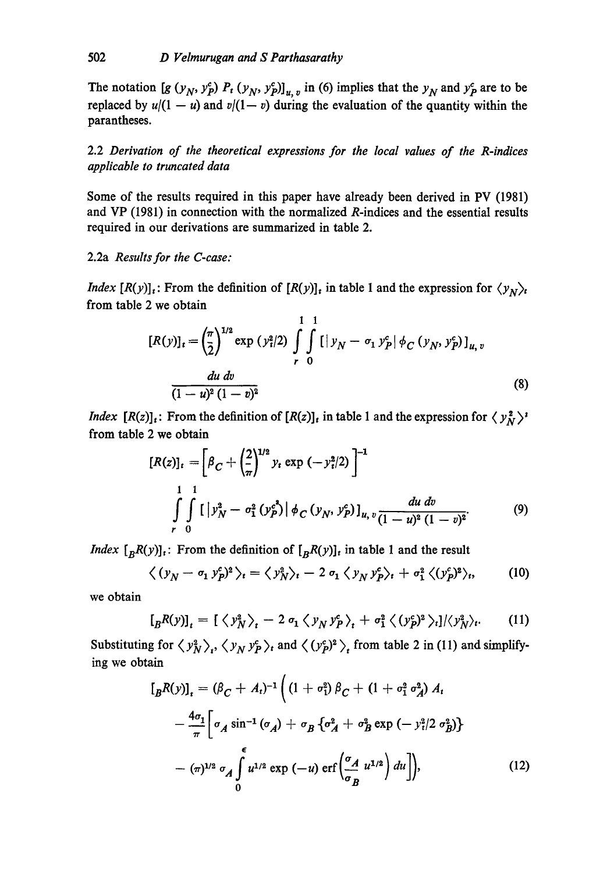The notation  $[g(y_N, y_P^c) P_t(y_N, y_P^c)]_{u, v}$  in (6) implies that the  $y_N$  and  $y_P^c$  are to be replaced by  $u/(1-u)$  and  $v/(1-v)$  during the evaluation of the quantity within the parantheses.

2.2 *Derivation of the theoretical expressions for the local values of the R-indices applicable to truncated data* 

Some of the results required in this paper have already been derived in PV (1981) and VP (1981) in connection with the normalized R-indices and the essential results required in our derivations are summarized in table 2.

## 2.2a *Results for the C-case:*

*Index*  $[R(y)]_t$ : From the definition of  $[R(y)]_t$  in table 1 and the expression for  $\langle y_N \rangle_t$ from table 2 we obtain

$$
[R(y)]_t = \left(\frac{\pi}{2}\right)^{1/2} \exp(y_t^2/2) \int\limits_r^{1} \int\limits_0^1 \left[|y_N - \sigma_1 y_p^c| \phi_C(y_N, y_p^c)\right]_{u, v}
$$
  

$$
\frac{du \, dv}{(1-u)^2 (1-v)^2}
$$
 (8)

*Index*  $[R(z)]_t$ : From the definition of  $[R(z)]_t$  in table 1 and the expression for  $\langle y_N^2 \rangle^t$ from table 2 we obtain

$$
[R(z)]_t = \left[\beta_C + \left(\frac{2}{\pi}\right)^{1/2} y_t \exp\left(-y_t^2/2\right)\right]^{-1}
$$
  

$$
\int_{r_0}^{1} \int_{0}^{1} \left[ y_N^2 - \sigma_1^2 \left(y_P^2\right) \phi_C \left(y_N, y_P^c\right) \right]_{u, v} \frac{du dv}{(1 - u)^2 (1 - v)^2}.
$$
 (9)

*Index*  $\left[BR(y)\right]_t$ : From the definition of  $\left[BR(y)\right]_t$  in table 1 and the result

$$
\langle (y_N - \sigma_1 y_p^c)^2 \rangle_t = \langle y_N^2 \rangle_t - 2 \sigma_1 \langle y_N y_p^c \rangle_t + \sigma_1^2 \langle (y_p^c)^2 \rangle_t, \tag{10}
$$

we obtain

$$
\left[\,{}_B R(y)\right]_t = \left[\,\left\langle\,y_N^2\right\rangle_t - 2\,\sigma_1\,\left\langle\,y_N\,y_P^c\right\rangle_t + \sigma_1^2\,\left\langle\,(y_P^c)^2\,\right\rangle_t\right] / \left\langle\,y_N^2\right\rangle_t. \tag{11}
$$

Substituting for  $\langle y_N^2 \rangle_t$ ,  $\langle y_N y_P^c \rangle_t$  and  $\langle (y_P^c)^2 \rangle_t$  from table 2 in (11) and simplifying we obtain

$$
[{}_{B}R(y)]_{t} = (\beta_{C} + A_{t})^{-1} \Big( (1 + \sigma_{1}^{2}) \beta_{C} + (1 + \sigma_{1}^{2} \sigma_{A}^{2}) A_{t}
$$
  

$$
- \frac{4\sigma_{1}}{\pi} \Big[ \sigma_{A} \sin^{-1} (\sigma_{A}) + \sigma_{B} \{ \sigma_{A}^{2} + \sigma_{B}^{2} \exp (-y_{t}^{2}/2 \sigma_{B}^{2}) \} - (\pi)^{1/2} \sigma_{A} \int_{0}^{\epsilon} u^{1/2} \exp (-u) \operatorname{erf} \Big( \frac{\sigma_{A}}{\sigma_{B}} u^{1/2} \Big) du \Big] \Big), \tag{12}
$$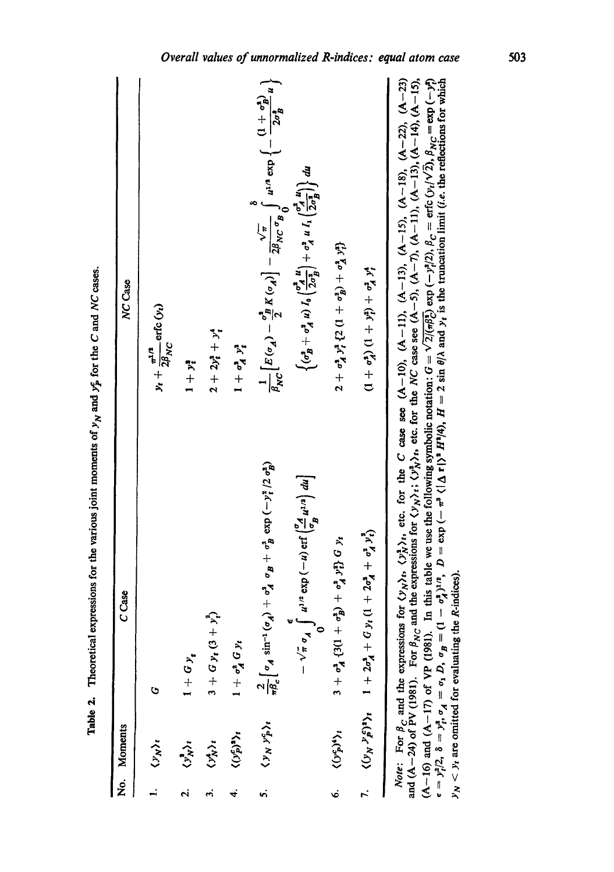| .<br>Ž | Moments                               | C Case                                                                                                                      | NC Case                                                                                                                                                                                                                                            |
|--------|---------------------------------------|-----------------------------------------------------------------------------------------------------------------------------|----------------------------------------------------------------------------------------------------------------------------------------------------------------------------------------------------------------------------------------------------|
|        | $\langle y_N \rangle_t$               | Ò                                                                                                                           | $y_t + \frac{\pi^{1/3}}{2\beta_{NC}}$ erfc $(y_t)$                                                                                                                                                                                                 |
| N      | $\langle y_N^{\dagger} \rangle_t$     | $1 + G y_t$                                                                                                                 | $1 + y_i^2$                                                                                                                                                                                                                                        |
|        | $\langle y^i_N \rangle_i$             | $3 + G y_1 (3 + y_1^3)$                                                                                                     | $2 + 2y_i^2 + y_i^4$                                                                                                                                                                                                                               |
| ₹      | $\langle (v_{P}^{c})^{a} \rangle_{t}$ | $1 + \sigma_A^2 G y_t$                                                                                                      | $1 + \sigma_A^2 y_i^3$                                                                                                                                                                                                                             |
| n      | $\langle y_N \, y_P^c \rangle_t$      | $\frac{2}{\pi \beta_c} \Big[ \sigma_A \sin^{-1} (\sigma_A) + \sigma_A^2 \sigma_B + \sigma_B^3 \exp (-y_t^2 / 2 \sigma_B^2)$ | $\frac{1}{\beta_{NC}}\Big[E\left(\sigma_A\right)-\frac{\sigma_B^2}{2}\,K\left(\sigma_A\right)\Big] \,-\, \frac{\sqrt{\pi}}{2\beta_{NC}\,\sigma_B}\int\limits_0^{\delta}\,u^{1/8}\,\exp\,\left\{-\,\frac{(1+\sigma_B^2)}{2\sigma_B^2}\,u\,\right\}$ |
|        |                                       | $-\sqrt{\pi} \sigma_A \int u^{1/2} \exp(-u) \operatorname{erf} \left(\frac{\sigma_A}{\sigma_B} u^{1/2}\right) du$           | $\left\{ ( \sigma_B^2 + \sigma_A^2 u ) I_0 \left( \frac{\sigma_A^2 u}{2 \sigma_B^2} \right) + \sigma_A^2 u I_1 \left( \frac{\sigma_A^2 u}{2 \sigma_B^2} \right) \right\} du$                                                                       |
| Ġ      | $\langle (v_{p}^{c})^{i} \rangle_{i}$ | $3 + \sigma_A^2$ {3(1 + $\sigma_B^2$ ) + $\sigma_A^2$ y <sub>2</sub> } G y <sub>2</sub>                                     | $2 + \sigma_A^2 y_f^2$ {2 + $\sigma_B^2 + \sigma_A^2 y_f^2$ }                                                                                                                                                                                      |
|        |                                       | $\langle (y_N y_k^c)^2 \rangle_t$ $1 + 2\sigma_A^2 + G y_t (1 + 2\sigma_A^2 + \sigma_A^2 y_t^2)$                            | $(1 + \sigma_A^2) (1 + y_1^2) + \sigma_A^2 y_1^4$                                                                                                                                                                                                  |

Theoretical expressions for the various joint moments of  $y<sub>N</sub>$  and  $y<sub>S</sub>$  for the C and *NC* cases. Table 2. Theoretical expressions for the various joint moments of  $y_N$  and  $y_P^c$  for the C and NC cases.

 $y_N < y_t$  are omitted for evaluating the *R*-indices).

 $y_N < y_t$  are omitted for evaluating the *R*-indices).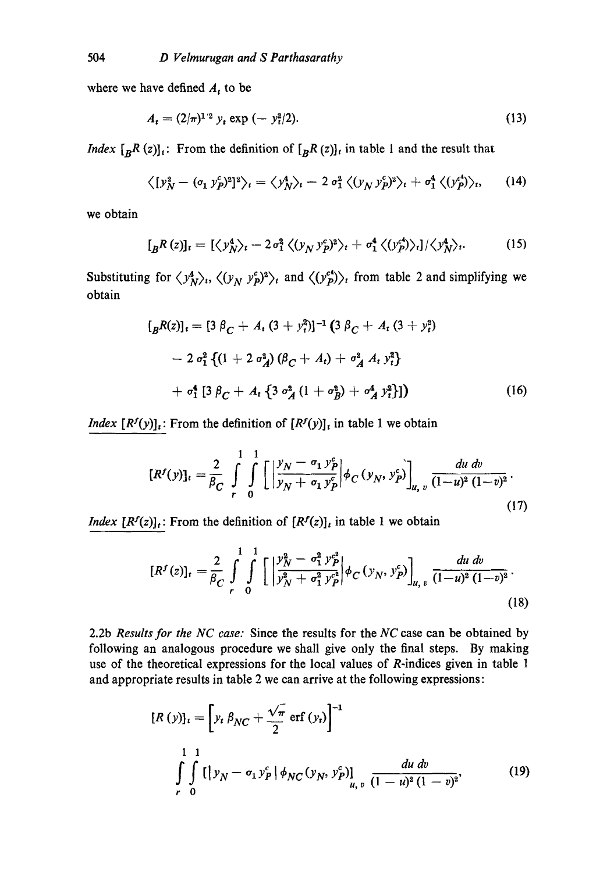where we have defined  $A_t$  to be

$$
A_t = (2/\pi)^{1/2} y_t \exp(-y_t^2/2). \tag{13}
$$

*Index*  $\left[ B^R(z) \right]_i$ : From the definition of  $\left[ B^R(z) \right]_i$  in table 1 and the result that

$$
\langle [y_N^2 - (\sigma_1 y_p^c)^2]^2 \rangle_t = \langle y_N^4 \rangle_t - 2 \sigma_1^2 \langle (y_N y_p^c)^2 \rangle_t + \sigma_1^4 \langle (y_p^c) \rangle_t, \qquad (14)
$$

we obtain

$$
[{}_BR(z)]_t = [\langle y_N^4 \rangle_t - 2 \sigma_1^2 \langle (y_N y_P^c)^2 \rangle_t + \sigma_1^4 \langle (y_P^c) \rangle_t] / \langle y_N^4 \rangle_t. \tag{15}
$$

Substituting for  $\langle y_N^4 \rangle_t$ ,  $\langle (y_N y_p^c)^2 \rangle_t$  and  $\langle (y_p^c)^2 \rangle_t$  from table 2 and simplifying we obtain

$$
[{}_{B}R(z)]_{t} = [3 \beta_{C} + A_{t} (3 + y_{t}^{2})]^{-1} (3 \beta_{C} + A_{t} (3 + y_{t}^{2})
$$
  
- 2  $\sigma_{1}^{2}$  { $(1 + 2 \sigma_{A}^{2}) (\beta_{C} + A_{t}) + \sigma_{A}^{2} A_{t} y_{t}^{2}$ }  
+  $\sigma_{1}^{4}$  [3  $\beta_{C} + A_{t}$  { $3 \sigma_{A}^{2} (1 + \sigma_{B}^{2}) + \sigma_{A}^{4} y_{t}^{2}$ ]}] (16)

*Index*  $[R^{f}(y)]_t$ : From the definition of  $[R^{f}(y)]_t$  in table 1 we obtain

$$
[R^{f}(y)]_{t} = \frac{2}{\beta_{C}} \int_{r}^{1} \int_{0}^{1} \left[ \left| \frac{y_{N} - \sigma_{1} y_{P}^{c}}{y_{N} + \sigma_{1} y_{P}^{c}} \right| \phi_{C} (y_{N}, y_{P}^{c}) \right]_{u, v} \frac{du dv}{(1 - u)^{2} (1 - v)^{2}}.
$$
\n(17)

*Index*  $[R<sup>f</sup>(z)]<sub>t</sub>$ : From the definition of  $[R<sup>f</sup>(z)]<sub>t</sub>$  in table 1 we obtain

$$
[R^{f}(z)]_{t} = \frac{2}{\beta_{C}} \int_{r}^{1} \int_{0}^{1} \left[ \left| \frac{y_{N}^{2} - \sigma_{1}^{2} y_{P}^{c^{2}}}{y_{N}^{2} + \sigma_{1}^{2} y_{P}^{c^{2}}} \right| \phi_{C} (y_{N}, y_{P}^{c}) \right]_{u, v} \frac{du dv}{(1 - u)^{2} (1 - v)^{2}}.
$$
\n(18)

2.2b *Results for the NC case:* Since the results for the *NC* case can be obtained by following an analogous procedure we shall give only the final steps. By making use of the theoretical expressions for the local values of R-indices given in table 1 and appropriate results in table 2 we can arrive at the following expressions:

$$
[R (y)]_t = \left[ y_t \beta_{NC} + \frac{\sqrt{\pi}}{2} \operatorname{erf} (y_t) \right]^{-1}
$$
  

$$
\int_{r}^{1} \int_{0}^{1} \left[ y_N - \sigma_1 y_P^c \right] \phi_{NC} (y_N, y_P^c) \Big|_{u, v} \frac{du dv}{(1 - u)^2 (1 - v)^2},
$$
(19)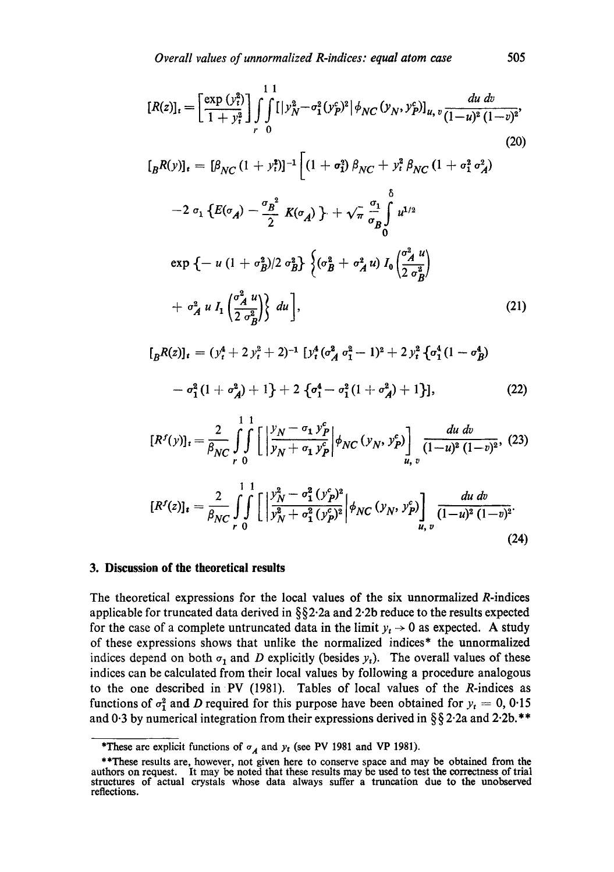$$
[R(z)]_t = \left[\frac{\exp{(y_t^2)}}{1+y_t^2}\right] \int\limits_r^{1} \int\limits_0^{1} [y_N^2 - \sigma_1^2 (y_P^c)^2 | \phi_{NC} (y_N, y_P^c)]_{u, v} \frac{du dv}{(1-u)^2 (1-v)^2},\tag{20}
$$

$$
[{}_{B}R(y)]_{t} = [\beta_{NC} (1 + y_{t}^{2})]^{-1} \left[ (1 + \sigma_{1}^{2}) \beta_{NC} + y_{t}^{2} \beta_{NC} (1 + \sigma_{1}^{2} \sigma_{A}^{2}) \right]
$$
  
\n
$$
-2 \sigma_{1} \left\{ E(\sigma_{A}) - \frac{\sigma_{B}^{2}}{2} K(\sigma_{A}) \right\} + \sqrt{\pi} \frac{\sigma_{1}}{\sigma_{B}^{2}} \int_{0}^{\delta} u^{1/2}
$$
  
\n
$$
\exp \left\{ -u (1 + \sigma_{B}^{2})/2 \sigma_{B}^{2} \right\} \left\{ (\sigma_{B}^{2} + \sigma_{A}^{2} u) I_{0} \left( \frac{\sigma_{A}^{2} u}{2 \sigma_{B}^{2}} \right) \right\}
$$
  
\n
$$
+ \sigma_{A}^{2} u I_{1} \left( \frac{\sigma_{A}^{2} u}{2 \sigma_{B}^{2}} \right) du \right],
$$
\n(21)

$$
[{}_{B}R(z)]_{t} = (y_{t}^{4} + 2y_{t}^{2} + 2)^{-1} [y_{t}^{4} (\sigma_{A}^{2} \sigma_{1}^{2} - 1)^{2} + 2y_{t}^{2} \{\sigma_{1}^{4} (1 - \sigma_{B}^{4})
$$

$$
- \sigma_{1}^{2} (1 + \sigma_{A}^{2}) + 1 \} + 2 \{\sigma_{1}^{4} - \sigma_{1}^{2} (1 + \sigma_{A}^{2}) + 1 \}], \qquad (22)
$$

$$
[R^{f}(y)]_{t} = \frac{2}{\beta_{NC}} \int_{r}^{1} \left[ \left| \frac{y_{N} - \sigma_{1} y_{P}^{c}}{y_{N} + \sigma_{1} y_{P}^{c}} \right| \phi_{NC} (y_{N}, y_{P}^{c}) \right]_{u, v} \frac{du dv}{(1 - u)^{2} (1 - v)^{2}}, (23)
$$

$$
[R^{f}(z)]_{t} = \frac{2}{\beta_{NC}} \int_{r}^{1} \left[ \left| \frac{y_{N}^{2} - \sigma_{1}^{2} (y_{P}^{c})^{2}}{y_{N}^{2} + \sigma_{1}^{2} (y_{P}^{c})^{2}} \right| \phi_{NC} (y_{N}, y_{P}^{c}) \right]_{u, v} \frac{du dv}{(1 - u)^{2} (1 - v)^{2}}.
$$
\n(24)

#### **3. Discussion of the theoretical results**

The theoretical expressions for the local values of the six unnormalized R-indices applicable for truncated data derived in §§2.2a and 2.2b reduce to the results expected for the case of a complete untruncated data in the limit  $y_t \to 0$  as expected. A study of these expressions shows that unlike the normalized indices\* the unnormalized indices depend on both  $\sigma_1$  and D explicitly (besides  $y_t$ ). The overall values of these indices can be calculated from their local values by following a procedure analogous to the one described in PV (1981). Tables of local values of the  $R$ -indices as functions of  $\sigma_1^2$  and D required for this purpose have been obtained for  $y_t = 0$ , 0.15 and 0.3 by numerical integration from their expressions derived in  $\S\S 2.2a$  and 2.2b.\*\*

<sup>\*</sup>These are explicit functions of  $\sigma_A$  and  $y_t$  (see PV 1981 and VP 1981).

<sup>\*\*</sup>These results are, however, not given here to conserve space and may be obtained from the authors on request. It may be noted that these results may be used to test the correctness of trial structures of actual crystals whose data always suffer a truncation due to the unobserved reflections.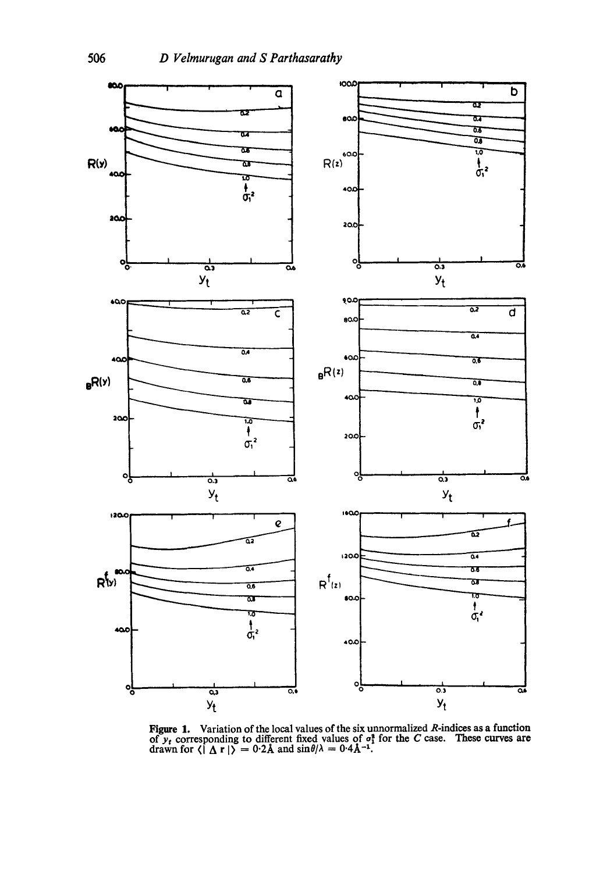

**Figure 1.** Variation of the local values of the six unnormalized *R*-indices as a function of  $y_t$  corresponding to different fixed values of  $\sigma_t^s$  for the *C* case. These curves are drawn for  $\langle |\Delta \mathbf{r}| \rangle = 0.2\text{Å}$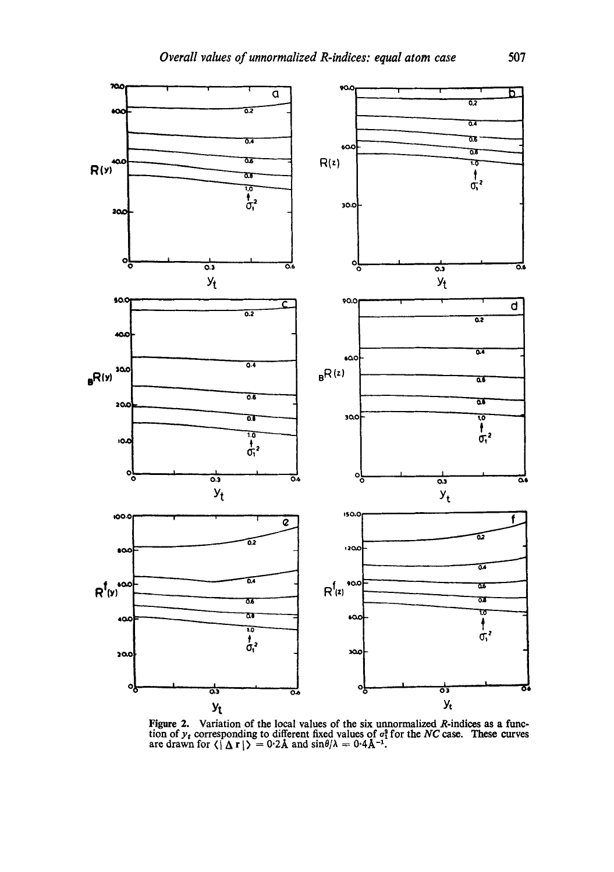

Figure 2. Variation of the local values of the six unnormalized *R*-indices as a function of  $y_t$  corresponding to different fixed values of  $\sigma_1^2$  for the *NC* case. These curves are drawn for  $\langle |\Delta \mathbf{r}| \rangle = 0.2\text{Å}$